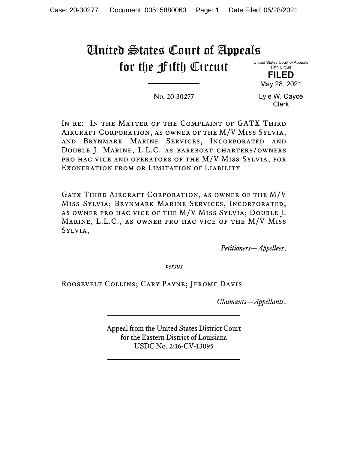# United States Court of Appeals for the Fifth Circuit

United States Court of Appeals Fifth Circuit

> **FILED** May 28, 2021

No. 20-30277

Lyle W. Cayce Clerk

In re: In the Matter of the Complaint of GATX Third Aircraft Corporation, as owner of the M/V Miss Sylvia, and Brynmark Marine Services, Incorporated and Double J. Marine, L.L.C. as bareboat charters/owners pro hac vice and operators of the M/V Miss Sylvia, for Exoneration from or Limitation of Liability

Gatx Third Aircraft Corporation, as owner of the M/V Miss Sylvia; Brynmark Marine Services, Incorporated, as owner pro hac vice of the M/V Miss Sylvia; Double J. Marine, L.L.C., as owner pro hac vice of the M/V Miss Sylvia,

*Petitioners—Appellees*,

*versus*

Roosevelt Collins; Cary Payne; Jerome Davis

*Claimants—Appellants*.

Appeal from the United States District Court for the Eastern District of Louisiana USDC No. 2:16-CV-13095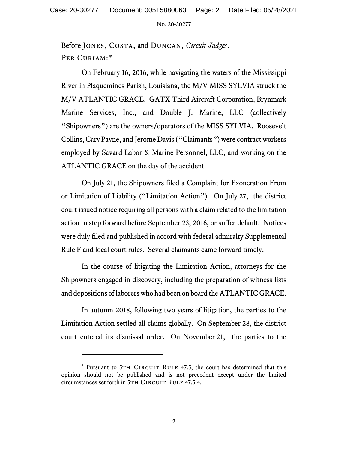Before Jones, Costa, and Duncan, *Circuit Judges*. PER CURIAM:[\\*](#page-1-0)

On February 16, 2016, while navigating the waters of the Mississippi River in Plaquemines Parish, Louisiana, the M/V MISS SYLVIA struck the M/V ATLANTIC GRACE. GATX Third Aircraft Corporation, Brynmark Marine Services, Inc., and Double J. Marine, LLC (collectively "Shipowners") are the owners/operators of the MISS SYLVIA. Roosevelt Collins, Cary Payne, and Jerome Davis ("Claimants") were contract workers employed by Savard Labor & Marine Personnel, LLC, and working on the ATLANTIC GRACE on the day of the accident.

On July 21, the Shipowners filed a Complaint for Exoneration From or Limitation of Liability ("Limitation Action"). On July 27, the district court issued notice requiring all persons with a claim related to the limitation action to step forward before September 23, 2016, or suffer default. Notices were duly filed and published in accord with federal admiralty Supplemental Rule F and local court rules. Several claimants came forward timely.

In the course of litigating the Limitation Action, attorneys for the Shipowners engaged in discovery, including the preparation of witness lists and depositions of laborers who had been on board the ATLANTIC GRACE.

In autumn 2018, following two years of litigation, the parties to the Limitation Action settled all claims globally. On September 28, the district court entered its dismissal order. On November 21, the parties to the

<span id="page-1-0"></span><sup>\*</sup> Pursuant to 5TH CIRCUIT RULE 47.5, the court has determined that this opinion should not be published and is not precedent except under the limited circumstances set forth in 5TH CIRCUIT RULE 47.5.4.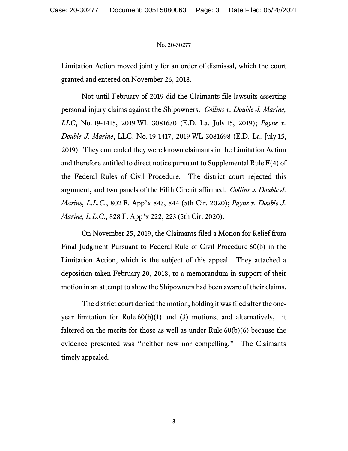Limitation Action moved jointly for an order of dismissal, which the court granted and entered on November 26, 2018.

Not until February of 2019 did the Claimants file lawsuits asserting personal injury claims against the Shipowners. *Collins v. Double J. Marine, LLC*, No. 19-1415, 2019 WL 3081630 (E.D. La. July 15, 2019); *Payne v. Double J. Marine*, LLC, No. 19-1417, 2019 WL 3081698 (E.D. La. July 15, 2019). They contended they were known claimants in the Limitation Action and therefore entitled to direct notice pursuant to Supplemental Rule F(4) of the Federal Rules of Civil Procedure. The district court rejected this argument, and two panels of the Fifth Circuit affirmed. *Collins v. Double J. Marine, L.L.C.*, 802 F. App'x 843, 844 (5th Cir. 2020); *Payne v. Double J. Marine, L.L.C.*, 828 F. App'x 222, 223 (5th Cir. 2020).

On November 25, 2019, the Claimants filed a Motion for Relief from Final Judgment Pursuant to Federal Rule of Civil Procedure 60(b) in the Limitation Action, which is the subject of this appeal. They attached a deposition taken February 20, 2018, to a memorandum in support of their motion in an attempt to show the Shipowners had been aware of their claims.

The district court denied the motion, holding it was filed after the oneyear limitation for Rule 60(b)(1) and (3) motions, and alternatively, it faltered on the merits for those as well as under Rule 60(b)(6) because the evidence presented was "neither new nor compelling." The Claimants timely appealed.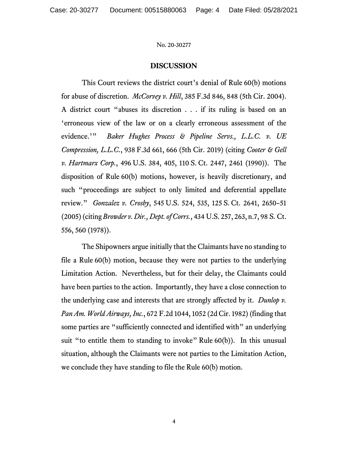## **DISCUSSION**

This Court reviews the district court's denial of Rule 60(b) motions for abuse of discretion. *McCorvey v. Hill*, 385 F.3d 846, 848 (5th Cir. 2004). A district court "abuses its discretion . . . if its ruling is based on an 'erroneous view of the law or on a clearly erroneous assessment of the evidence.'" *Baker Hughes Process & Pipeline Servs., L.L.C. v. UE Compression, L.L.C.*, 938 F.3d 661, 666 (5th Cir. 2019) (citing *Cooter & Gell v. Hartmarx Corp.*, 496 U.S. 384, 405, 110 S. Ct. 2447, 2461 (1990)). The disposition of Rule 60(b) motions, however, is heavily discretionary, and such "proceedings are subject to only limited and deferential appellate review." *Gonzalez v. Crosby*, 545 U.S. 524, 535, 125 S. Ct. 2641, 2650–51 (2005)(citing *Browder v. Dir., Dept. of Corrs.*, 434 U.S. 257, 263, n.7, 98 S. Ct. 556, 560 (1978)).

The Shipowners argue initially that the Claimants have no standing to file a Rule 60(b) motion, because they were not parties to the underlying Limitation Action. Nevertheless, but for their delay, the Claimants could have been parties to the action. Importantly, they have a close connection to the underlying case and interests that are strongly affected by it. *Dunlop v. Pan Am. World Airways, Inc.*, 672 F.2d 1044, 1052 (2d Cir. 1982) (finding that some parties are "sufficiently connected and identified with" an underlying suit "to entitle them to standing to invoke" Rule 60(b)). In this unusual situation, although the Claimants were not parties to the Limitation Action, we conclude they have standing to file the Rule 60(b) motion.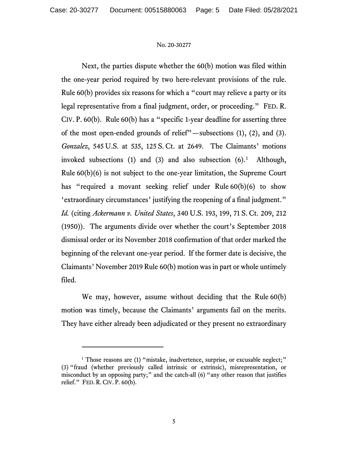Next, the parties dispute whether the 60(b) motion was filed within the one-year period required by two here-relevant provisions of the rule. Rule 60(b) provides six reasons for which a "court may relieve a party or its legal representative from a final judgment, order, or proceeding." FED. R. CIV. P. 60(b). Rule 60(b) has a "specific 1-year deadline for asserting three of the most open-ended grounds of relief"—subsections (1), (2), and (3). *Gonzalez*, 545 U.S. at 535, 125 S. Ct. at 2649. The Claimants' motions invoked subsections  $(1)$  $(1)$  $(1)$  and  $(3)$  and also subsection  $(6)$ .<sup>1</sup> Although, Rule 60(b)(6) is not subject to the one-year limitation, the Supreme Court has "required a movant seeking relief under Rule 60(b)(6) to show 'extraordinary circumstances' justifying the reopening of a final judgment." *Id.* (citing *Ackermann v. United States*, 340 U.S. 193, 199, 71 S. Ct. 209, 212 (1950)). The arguments divide over whether the court's September 2018 dismissal order or its November 2018 confirmation of that order marked the beginning of the relevant one-year period. If the former date is decisive, the Claimants' November 2019 Rule 60(b) motion was in part or whole untimely filed.

We may, however, assume without deciding that the Rule 60(b) motion was timely, because the Claimants' arguments fail on the merits. They have either already been adjudicated or they present no extraordinary

<span id="page-4-0"></span><sup>&</sup>lt;sup>1</sup> Those reasons are (1) "mistake, inadvertence, surprise, or excusable neglect;" (3) "fraud (whether previously called intrinsic or extrinsic), misrepresentation, or misconduct by an opposing party;" and the catch-all (6) "any other reason that justifies relief." FED. R. CIV. P. 60(b).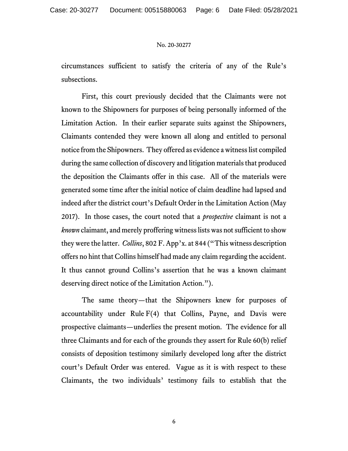circumstances sufficient to satisfy the criteria of any of the Rule's subsections.

First, this court previously decided that the Claimants were not known to the Shipowners for purposes of being personally informed of the Limitation Action. In their earlier separate suits against the Shipowners, Claimants contended they were known all along and entitled to personal notice from the Shipowners. They offered as evidence a witness list compiled during the same collection of discovery and litigation materials that produced the deposition the Claimants offer in this case. All of the materials were generated some time after the initial notice of claim deadline had lapsed and indeed after the district court's Default Order in the Limitation Action (May 2017). In those cases, the court noted that a *prospective* claimant is not a *known* claimant, and merely proffering witness lists was not sufficient to show they were the latter. *Collins*, 802 F. App'x. at 844 ("This witness description offers no hint that Collins himself had made any claim regarding the accident. It thus cannot ground Collins's assertion that he was a known claimant deserving direct notice of the Limitation Action.").

The same theory—that the Shipowners knew for purposes of accountability under Rule  $F(4)$  that Collins, Payne, and Davis were prospective claimants—underlies the present motion. The evidence for all three Claimants and for each of the grounds they assert for Rule 60(b) relief consists of deposition testimony similarly developed long after the district court's Default Order was entered. Vague as it is with respect to these Claimants, the two individuals' testimony fails to establish that the